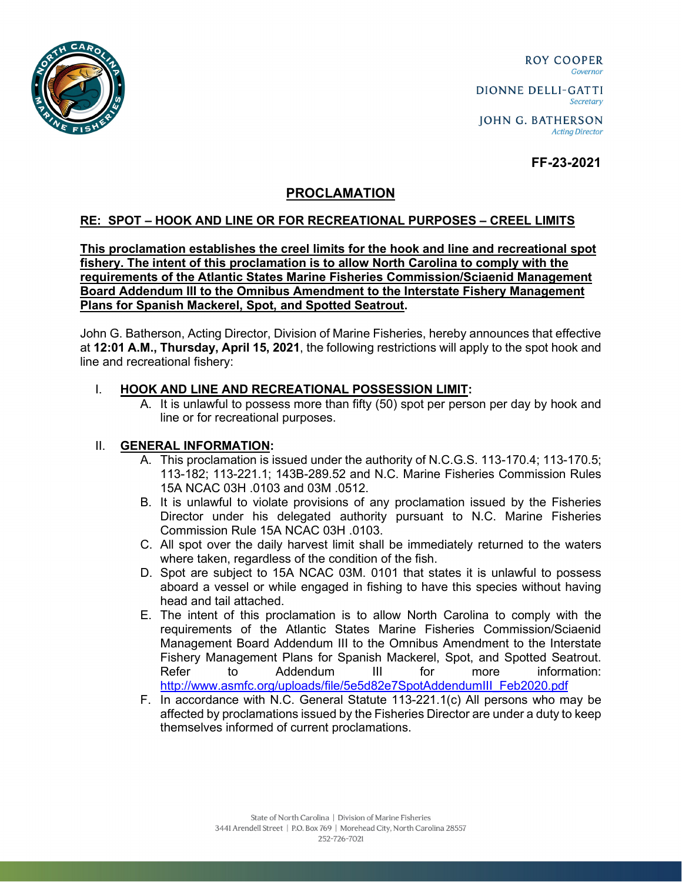

**ROY COOPER** Governor

DIONNE DELLI-GATTI Secretary

**JOHN G. BATHERSON Acting Director** 

# **FF-23-2021**

## **PROCLAMATION**

### **RE: SPOT – HOOK AND LINE OR FOR RECREATIONAL PURPOSES – CREEL LIMITS**

**This proclamation establishes the creel limits for the hook and line and recreational spot fishery. The intent of this proclamation is to allow North Carolina to comply with the requirements of the Atlantic States Marine Fisheries Commission/Sciaenid Management Board Addendum III to the Omnibus Amendment to the Interstate Fishery Management Plans for Spanish Mackerel, Spot, and Spotted Seatrout.**

John G. Batherson, Acting Director, Division of Marine Fisheries, hereby announces that effective at **12:01 A.M., Thursday, April 15, 2021**, the following restrictions will apply to the spot hook and line and recreational fishery:

### I. **HOOK AND LINE AND RECREATIONAL POSSESSION LIMIT:**

A. It is unlawful to possess more than fifty (50) spot per person per day by hook and line or for recreational purposes.

#### II. **GENERAL INFORMATION:**

- A. This proclamation is issued under the authority of N.C.G.S. 113-170.4; 113-170.5; 113-182; 113-221.1; 143B-289.52 and N.C. Marine Fisheries Commission Rules 15A NCAC 03H .0103 and 03M .0512.
- B. It is unlawful to violate provisions of any proclamation issued by the Fisheries Director under his delegated authority pursuant to N.C. Marine Fisheries Commission Rule 15A NCAC 03H .0103.
- C. All spot over the daily harvest limit shall be immediately returned to the waters where taken, regardless of the condition of the fish.
- D. Spot are subject to 15A NCAC 03M. 0101 that states it is unlawful to possess aboard a vessel or while engaged in fishing to have this species without having head and tail attached.
- E. The intent of this proclamation is to allow North Carolina to comply with the requirements of the Atlantic States Marine Fisheries Commission/Sciaenid Management Board Addendum III to the Omnibus Amendment to the Interstate Fishery Management Plans for Spanish Mackerel, Spot, and Spotted Seatrout. Refer to Addendum III for more information: [http://www.asmfc.org/uploads/file/5e5d82e7SpotAddendumIII\\_Feb2020.pdf](http://www.asmfc.org/uploads/file/5e5d82e7SpotAddendumIII_Feb2020.pdf)
- F. In accordance with N.C. General Statute 113-221.1(c) All persons who may be affected by proclamations issued by the Fisheries Director are under a duty to keep themselves informed of current proclamations.